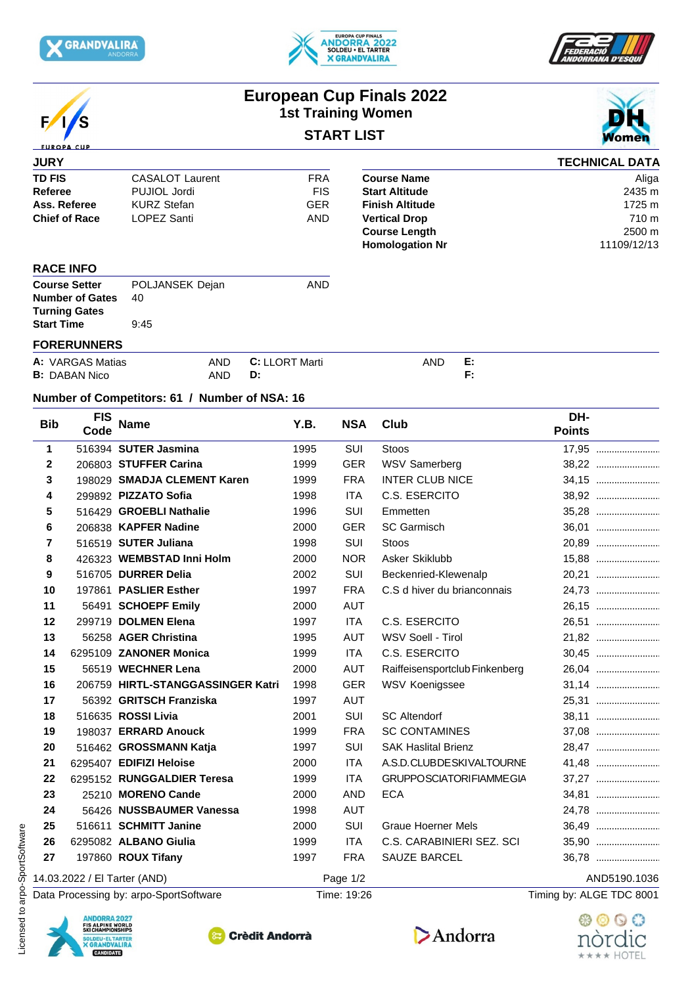







## **European Cup Finals 2022 1st Training Women START LIST**



| <b>JURY</b>          |                        |            |                        | <b>TECHNICAL DATA</b> |
|----------------------|------------------------|------------|------------------------|-----------------------|
| <b>TD FIS</b>        | <b>CASALOT Laurent</b> | <b>FRA</b> | <b>Course Name</b>     | Aliga                 |
| Referee              | PUJIOL Jordi           | <b>FIS</b> | <b>Start Altitude</b>  | 2435 m                |
| Ass. Referee         | <b>KURZ Stefan</b>     | GER        | <b>Finish Altitude</b> | 1725 m                |
| <b>Chief of Race</b> | LOPEZ Santi            | AND        | <b>Vertical Drop</b>   | 710 m                 |
|                      |                        |            | <b>Course Length</b>   | 2500 m                |
|                      |                        |            | <b>Homologation Nr</b> | 11109/12/13           |
| <b>RACE INFO</b>     |                        |            |                        |                       |

| <b>Course Setter</b>   | POLJANSEK Dejan | AND |
|------------------------|-----------------|-----|
| <b>Number of Gates</b> | 40              |     |
| <b>Turning Gates</b>   |                 |     |
| <b>Start Time</b>      | 9:45            |     |
|                        |                 |     |

## **FORERUNNERS**

| A: VARGAS Matias     | AND | LORT Marti<br>$\sim$<br>u. | and | . . |
|----------------------|-----|----------------------------|-----|-----|
| <b>B:</b> DABAN Nico | AND | U.                         |     |     |

## **Number of Competitors: 61 / Number of NSA: 16**

| <b>Bib</b>   | <b>FIS</b><br>Code                                                                                                              | <b>Name</b>                            | Y.B. | <b>NSA</b>  | Club                           | DH-<br><b>Points</b>     |
|--------------|---------------------------------------------------------------------------------------------------------------------------------|----------------------------------------|------|-------------|--------------------------------|--------------------------|
| $\mathbf 1$  |                                                                                                                                 | 516394 SUTER Jasmina                   | 1995 | SUI         | <b>Stoos</b>                   | 17,95                    |
| $\mathbf{2}$ |                                                                                                                                 | 206803 STUFFER Carina                  | 1999 | <b>GER</b>  | <b>WSV Samerberg</b>           | 38,22                    |
| 3            |                                                                                                                                 | 198029 SMADJA CLEMENT Karen            | 1999 | <b>FRA</b>  | <b>INTER CLUB NICE</b>         | 34,15                    |
| 4            |                                                                                                                                 | 299892 PIZZATO Sofia                   | 1998 | <b>ITA</b>  | C.S. ESERCITO                  | 38,92                    |
| 5            |                                                                                                                                 | 516429 GROEBLI Nathalie                | 1996 | SUI         | Emmetten                       | 35,28                    |
| 6            |                                                                                                                                 | 206838 KAPFER Nadine                   | 2000 | <b>GER</b>  | <b>SC Garmisch</b>             | 36,01                    |
| 7            |                                                                                                                                 | 516519 SUTER Juliana                   | 1998 | SUI         | Stoos                          |                          |
| 8            |                                                                                                                                 | 426323 WEMBSTAD Inni Holm              | 2000 | <b>NOR</b>  | Asker Skiklubb                 | 15,88                    |
| 9            |                                                                                                                                 | 516705 DURRER Delia                    | 2002 | SUI         | Beckenried-Klewenalp           |                          |
| 10           |                                                                                                                                 | 197861 PASLIER Esther                  | 1997 | <b>FRA</b>  | C.S d hiver du brianconnais    |                          |
| 11           | 56491                                                                                                                           | <b>SCHOEPF Emily</b>                   | 2000 | <b>AUT</b>  |                                | 26,15                    |
| 12           |                                                                                                                                 | 299719 DOLMEN Elena                    | 1997 | <b>ITA</b>  | C.S. ESERCITO                  | 26,51                    |
| 13           |                                                                                                                                 | 56258 AGER Christina                   | 1995 | AUT         | WSV Soell - Tirol              | 21.82                    |
| 14           |                                                                                                                                 | 6295109 ZANONER Monica                 | 1999 | <b>ITA</b>  | C.S. ESERCITO                  | 30,45                    |
| 15           |                                                                                                                                 | 56519 WECHNER Lena                     | 2000 | <b>AUT</b>  | Raiffeisensportclub Finkenberg | 26,04                    |
| 16           |                                                                                                                                 | 206759 HIRTL-STANGGASSINGER Katri      | 1998 | <b>GER</b>  | WSV Koenigssee                 |                          |
| 17           |                                                                                                                                 | 56392 GRITSCH Franziska                | 1997 | <b>AUT</b>  |                                |                          |
| 18           |                                                                                                                                 | 516635 ROSSI Livia                     | 2001 | SUI         | <b>SC Altendorf</b>            | 38,11                    |
| 19           |                                                                                                                                 | 198037 ERRARD Anouck                   | 1999 | <b>FRA</b>  | <b>SC CONTAMINES</b>           |                          |
| 20           |                                                                                                                                 | 516462 GROSSMANN Katja                 | 1997 | SUI         | <b>SAK Haslital Brienz</b>     | 28,47                    |
| 21           |                                                                                                                                 | 6295407 EDIFIZI Heloise                | 2000 | <b>ITA</b>  | A.S.D.CLUBDESKIVALTOURNE       | 41,48                    |
| 22           |                                                                                                                                 | 6295152 RUNGGALDIER Teresa             | 1999 | <b>ITA</b>  | <b>GRUPPOSCIATORIFIAMMEGIA</b> | 37,27                    |
| 23           |                                                                                                                                 | 25210 MORENO Cande                     | 2000 | <b>AND</b>  | <b>ECA</b>                     | 34,81                    |
| 24           |                                                                                                                                 | 56426 NUSSBAUMER Vanessa               | 1998 | <b>AUT</b>  |                                | 24,78                    |
| 25           |                                                                                                                                 | 516611 SCHMITT Janine                  | 2000 | SUI         | <b>Graue Hoerner Mels</b>      | 36,49                    |
| 26           |                                                                                                                                 | 6295082 ALBANO Giulia                  | 1999 | <b>ITA</b>  | C.S. CARABINIERI SEZ. SCI      | 35,90                    |
| 27           |                                                                                                                                 | 197860 ROUX Tifany                     | 1997 | <b>FRA</b>  | SAUZE BARCEL                   | 36,78                    |
|              |                                                                                                                                 | 14.03.2022 / El Tarter (AND)           |      | Page 1/2    |                                | AND5190.1036             |
|              |                                                                                                                                 | Data Processing by: arpo-SportSoftware |      | Time: 19:26 |                                | Timing by: ALGE TDC 8001 |
|              | <b>ANDORRA 2027</b><br><b>FIS ALPINE WORLD<br/>SKI CHAMPIONSHIPS</b><br>SOLDEU - EL TARTER<br><b>X GRANDVALIRA</b><br>CANDIDATE | <b>Crèdit Andorrà</b>                  |      |             | Andorra                        | nordic                   |